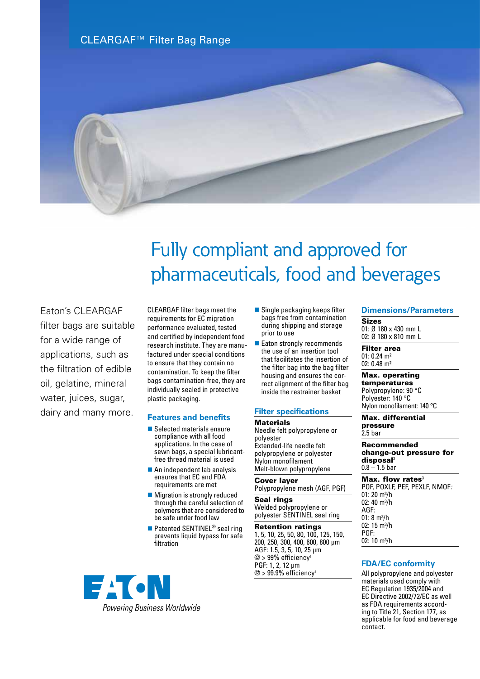CLEARGAF™ Filter Bag Range



# Fully compliant and approved for pharmaceuticals, food and beverages

Eaton's CLEARGAF filter bags are suitable for a wide range of applications, such as the filtration of edible oil, gelatine, mineral water, juices, sugar, dairy and many more.

CLEARGAF filter bags meet the requirements for EC migration performance evaluated, tested and certified by independent food research institute. They are manufactured under special conditions to ensure that they contain no contamination. To keep the filter bags contamination-free, they are individually sealed in protective plastic packaging.

### F**eatures and benefits**

- $\blacksquare$  Selected materials ensure compliance with all food applications. In the case of sewn bags, a special lubricantfree thread material is used
- $\blacksquare$  An independent lab analysis ensures that EC and FDA requirements are met
- $\blacksquare$  Migration is strongly reduced through the careful selection of polymers that are considered to be safe under food law
- Patented SENTINEL<sup>®</sup> seal ring prevents liquid bypass for safe filtration



- $\blacksquare$  Single packaging keeps filter bags free from contamination during shipping and storage prior to use
- Eaton strongly recommends the use of an insertion tool that facilitates the insertion of the filter bag into the bag filter housing and ensures the correct alignment of the filter bag inside the restrainer basket

#### **Filter specifications**

#### **Materials**

Needle felt polypropylene or polyester Extended-life needle felt polypropylene or polyester Nylon monofilament Melt-blown polypropylene

# Cover layer

# Polypropylene mesh (AGF, PGF)

Seal rings Welded polypropylene or polyester SENTINEL seal ring

#### Retention ratings

1, 5, 10, 25, 50, 80, 100, 125, 150, 200, 250, 300, 400, 600, 800 µm AGF: 1.5, 3, 5, 10, 25 μm  $@$  > 99% efficiency<sup>1</sup> PGF: 1, 2, 12 μm  $@$  > 99.9% efficiency

#### **Dimensions/Parameters**

Sizes 01: Ø 180 x 430 mm L 02: Ø 180 x 810 mm L

Filter area 01: 0.24 m² 02: 0.48 m²

Max. operating temperatures Polypropylene: 90 °C Polyester: 140 °C Nylon monofilament: 140 °C

Max. differential pressure 2.5 bar

Recommended change-out pressure for disposal<sup>2</sup>  $0.8 - 1.5$  bar

Max. flow rates $3$ POF, POXLF, PEF, PEXLF, NMOF*:*  $01: 20$  m<sup>3</sup>/h 02: 40 m<sup>3</sup>/h AGF:  $01: 8 m<sup>3</sup>/h$ 02:  $15 \text{ m}^3/h$ PGF: 02: 10 m<sup>3</sup>/h

# **FDA/EC conformity**

All polypropylene and polyester materials used comply with EC Regulation 1935/2004 and EC Directive 2002/72/EC as well as FDA requirements according to Title 21, Section 177, as applicable for food and beverage contact.